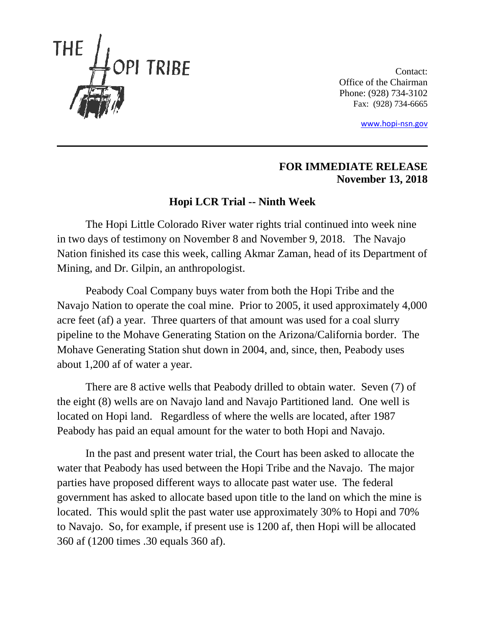

Contact: Office of the Chairman Phone: (928) 734-3102 Fax: (928) 734-6665

[www.hopi-nsn.gov](http://www.hopi-nsn.gov/)

## **FOR IMMEDIATE RELEASE November 13, 2018**

## **Hopi LCR Trial -- Ninth Week**

The Hopi Little Colorado River water rights trial continued into week nine in two days of testimony on November 8 and November 9, 2018. The Navajo Nation finished its case this week, calling Akmar Zaman, head of its Department of Mining, and Dr. Gilpin, an anthropologist.

Peabody Coal Company buys water from both the Hopi Tribe and the Navajo Nation to operate the coal mine. Prior to 2005, it used approximately 4,000 acre feet (af) a year. Three quarters of that amount was used for a coal slurry pipeline to the Mohave Generating Station on the Arizona/California border. The Mohave Generating Station shut down in 2004, and, since, then, Peabody uses about 1,200 af of water a year.

There are 8 active wells that Peabody drilled to obtain water. Seven (7) of the eight (8) wells are on Navajo land and Navajo Partitioned land. One well is located on Hopi land. Regardless of where the wells are located, after 1987 Peabody has paid an equal amount for the water to both Hopi and Navajo.

In the past and present water trial, the Court has been asked to allocate the water that Peabody has used between the Hopi Tribe and the Navajo. The major parties have proposed different ways to allocate past water use. The federal government has asked to allocate based upon title to the land on which the mine is located. This would split the past water use approximately 30% to Hopi and 70% to Navajo. So, for example, if present use is 1200 af, then Hopi will be allocated 360 af (1200 times .30 equals 360 af).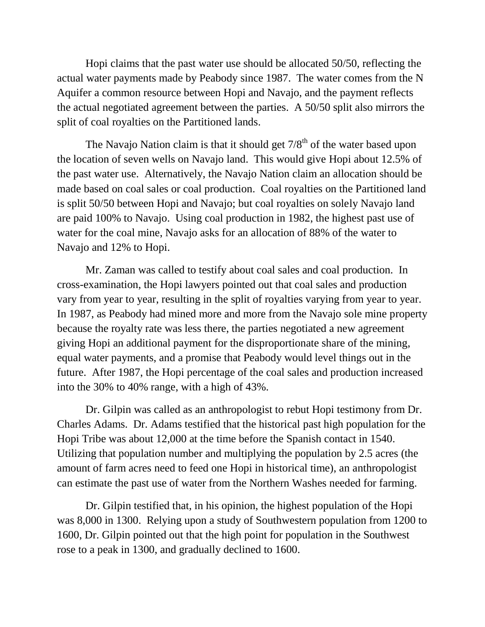Hopi claims that the past water use should be allocated 50/50, reflecting the actual water payments made by Peabody since 1987. The water comes from the N Aquifer a common resource between Hopi and Navajo, and the payment reflects the actual negotiated agreement between the parties. A 50/50 split also mirrors the split of coal royalties on the Partitioned lands.

The Navajo Nation claim is that it should get  $7/8<sup>th</sup>$  of the water based upon the location of seven wells on Navajo land. This would give Hopi about 12.5% of the past water use. Alternatively, the Navajo Nation claim an allocation should be made based on coal sales or coal production. Coal royalties on the Partitioned land is split 50/50 between Hopi and Navajo; but coal royalties on solely Navajo land are paid 100% to Navajo. Using coal production in 1982, the highest past use of water for the coal mine, Navajo asks for an allocation of 88% of the water to Navajo and 12% to Hopi.

Mr. Zaman was called to testify about coal sales and coal production. In cross-examination, the Hopi lawyers pointed out that coal sales and production vary from year to year, resulting in the split of royalties varying from year to year. In 1987, as Peabody had mined more and more from the Navajo sole mine property because the royalty rate was less there, the parties negotiated a new agreement giving Hopi an additional payment for the disproportionate share of the mining, equal water payments, and a promise that Peabody would level things out in the future. After 1987, the Hopi percentage of the coal sales and production increased into the 30% to 40% range, with a high of 43%.

Dr. Gilpin was called as an anthropologist to rebut Hopi testimony from Dr. Charles Adams. Dr. Adams testified that the historical past high population for the Hopi Tribe was about 12,000 at the time before the Spanish contact in 1540. Utilizing that population number and multiplying the population by 2.5 acres (the amount of farm acres need to feed one Hopi in historical time), an anthropologist can estimate the past use of water from the Northern Washes needed for farming.

Dr. Gilpin testified that, in his opinion, the highest population of the Hopi was 8,000 in 1300. Relying upon a study of Southwestern population from 1200 to 1600, Dr. Gilpin pointed out that the high point for population in the Southwest rose to a peak in 1300, and gradually declined to 1600.